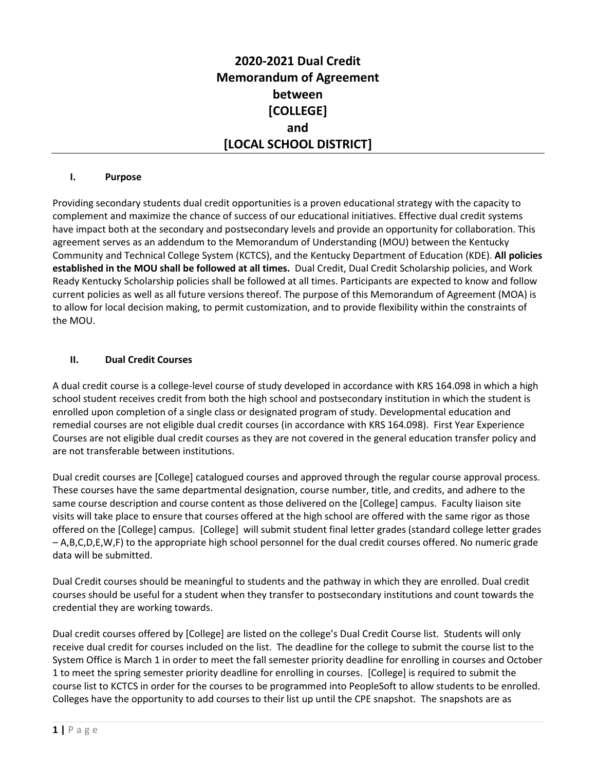## **2020-2021 Dual Credit Memorandum of Agreement between [COLLEGE] and [LOCAL SCHOOL DISTRICT]**

#### **I. Purpose**

Providing secondary students dual credit opportunities is a proven educational strategy with the capacity to complement and maximize the chance of success of our educational initiatives. Effective dual credit systems have impact both at the secondary and postsecondary levels and provide an opportunity for collaboration. This agreement serves as an addendum to the Memorandum of Understanding (MOU) between the Kentucky Community and Technical College System (KCTCS), and the Kentucky Department of Education (KDE). **All policies established in the MOU shall be followed at all times.** Dual Credit, Dual Credit Scholarship policies, and Work Ready Kentucky Scholarship policies shall be followed at all times. Participants are expected to know and follow current policies as well as all future versions thereof. The purpose of this Memorandum of Agreement (MOA) is to allow for local decision making, to permit customization, and to provide flexibility within the constraints of the MOU.

#### **II. Dual Credit Courses**

A dual credit course is a college-level course of study developed in accordance with KRS 164.098 in which a high school student receives credit from both the high school and postsecondary institution in which the student is enrolled upon completion of a single class or designated program of study. Developmental education and remedial courses are not eligible dual credit courses (in accordance with KRS 164.098). First Year Experience Courses are not eligible dual credit courses as they are not covered in the general education transfer policy and are not transferable between institutions.

Dual credit courses are [College] catalogued courses and approved through the regular course approval process. These courses have the same departmental designation, course number, title, and credits, and adhere to the same course description and course content as those delivered on the [College] campus. Faculty liaison site visits will take place to ensure that courses offered at the high school are offered with the same rigor as those offered on the [College] campus. [College] will submit student final letter grades (standard college letter grades – A,B,C,D,E,W,F) to the appropriate high school personnel for the dual credit courses offered. No numeric grade data will be submitted.

Dual Credit courses should be meaningful to students and the pathway in which they are enrolled. Dual credit courses should be useful for a student when they transfer to postsecondary institutions and count towards the credential they are working towards.

Dual credit courses offered by [College] are listed on the college's Dual Credit Course list. Students will only receive dual credit for courses included on the list. The deadline for the college to submit the course list to the System Office is March 1 in order to meet the fall semester priority deadline for enrolling in courses and October 1 to meet the spring semester priority deadline for enrolling in courses. [College] is required to submit the course list to KCTCS in order for the courses to be programmed into PeopleSoft to allow students to be enrolled. Colleges have the opportunity to add courses to their list up until the CPE snapshot. The snapshots are as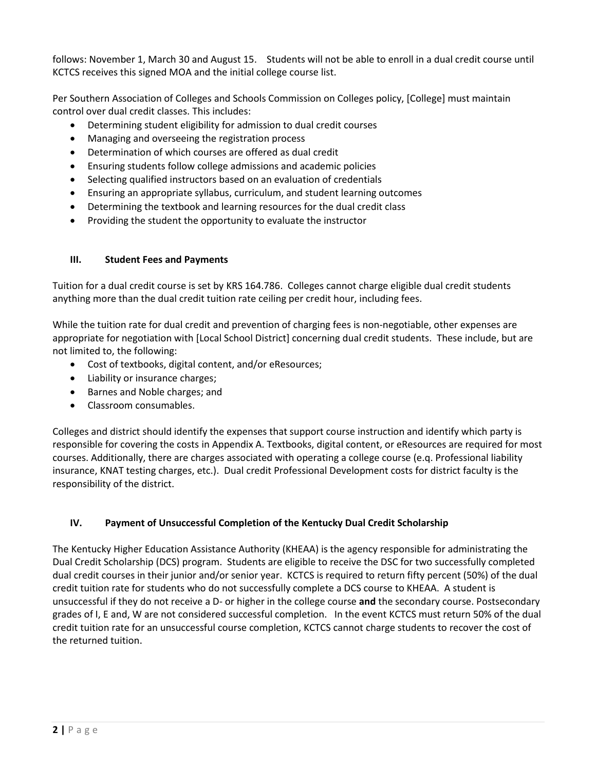follows: November 1, March 30 and August 15. Students will not be able to enroll in a dual credit course until KCTCS receives this signed MOA and the initial college course list.

Per Southern Association of Colleges and Schools Commission on Colleges policy, [College] must maintain control over dual credit classes. This includes:

- Determining student eligibility for admission to dual credit courses
- Managing and overseeing the registration process
- Determination of which courses are offered as dual credit
- Ensuring students follow college admissions and academic policies
- Selecting qualified instructors based on an evaluation of credentials
- Ensuring an appropriate syllabus, curriculum, and student learning outcomes
- Determining the textbook and learning resources for the dual credit class
- Providing the student the opportunity to evaluate the instructor

### **III. Student Fees and Payments**

Tuition for a dual credit course is set by KRS 164.786. Colleges cannot charge eligible dual credit students anything more than the dual credit tuition rate ceiling per credit hour, including fees.

While the tuition rate for dual credit and prevention of charging fees is non-negotiable, other expenses are appropriate for negotiation with [Local School District] concerning dual credit students. These include, but are not limited to, the following:

- Cost of textbooks, digital content, and/or eResources;
- Liability or insurance charges;
- Barnes and Noble charges; and
- Classroom consumables.

Colleges and district should identify the expenses that support course instruction and identify which party is responsible for covering the costs in Appendix A. Textbooks, digital content, or eResources are required for most courses. Additionally, there are charges associated with operating a college course (e.q. Professional liability insurance, KNAT testing charges, etc.). Dual credit Professional Development costs for district faculty is the responsibility of the district.

### **IV. Payment of Unsuccessful Completion of the Kentucky Dual Credit Scholarship**

The Kentucky Higher Education Assistance Authority (KHEAA) is the agency responsible for administrating the Dual Credit Scholarship (DCS) program. Students are eligible to receive the DSC for two successfully completed dual credit courses in their junior and/or senior year. KCTCS is required to return fifty percent (50%) of the dual credit tuition rate for students who do not successfully complete a DCS course to KHEAA. A student is unsuccessful if they do not receive a D- or higher in the college course **and** the secondary course. Postsecondary grades of I, E and, W are not considered successful completion. In the event KCTCS must return 50% of the dual credit tuition rate for an unsuccessful course completion, KCTCS cannot charge students to recover the cost of the returned tuition.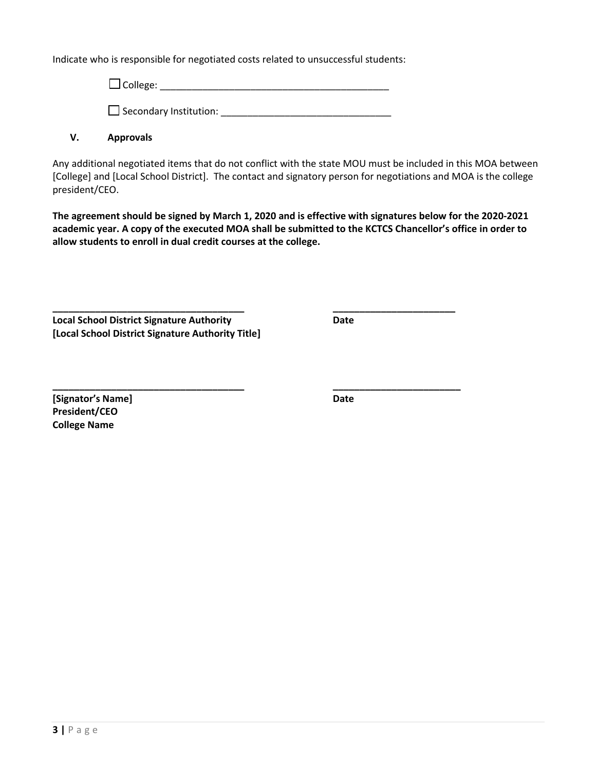Indicate who is responsible for negotiated costs related to unsuccessful students:

 $\square$  College:  $\square$ Secondary Institution: \_\_\_\_\_\_\_\_\_\_\_\_\_\_\_\_\_\_\_\_\_\_\_\_\_\_\_\_\_\_\_\_

**\_\_\_\_\_\_\_\_\_\_\_\_\_\_\_\_\_\_\_\_\_\_\_\_\_\_\_\_\_\_\_\_\_\_\_\_ \_\_\_\_\_\_\_\_\_\_\_\_\_\_\_\_\_\_\_\_\_\_\_**

# **V. Approvals**

Any additional negotiated items that do not conflict with the state MOU must be included in this MOA between [College] and [Local School District]. The contact and signatory person for negotiations and MOA is the college president/CEO.

**The agreement should be signed by March 1, 2020 and is effective with signatures below for the 2020-2021 academic year. A copy of the executed MOA shall be submitted to the KCTCS Chancellor's office in order to allow students to enroll in dual credit courses at the college.** 

**Local School District Signature Authority Date [Local School District Signature Authority Title]**

**\_\_\_\_\_\_\_\_\_\_\_\_\_\_\_\_\_\_\_\_\_\_\_\_\_\_\_\_\_\_\_\_\_\_\_\_ \_\_\_\_\_\_\_\_\_\_\_\_\_\_\_\_\_\_\_\_\_\_\_\_ [Signator's Name] Date President/CEO College Name**